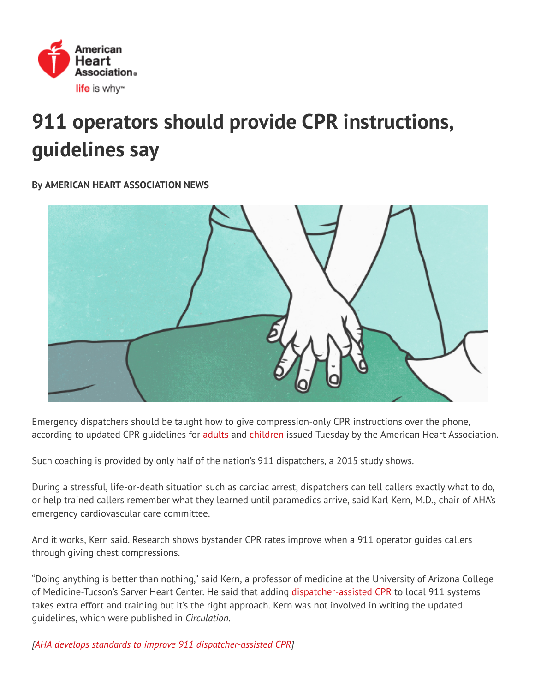

## 911 operators should provide CPR instructions, guidelines say

## By AMERICAN HEART ASSOCIATION NEWS



Emergency dispatchers should be taught how to give compression-only CPR instructions over the phone, according to updated CPR quidelines for [adults](http://circ.ahajournals.org/lookup/doi/10.1161/CIR.0000000000000539) and [children](http://circ.ahajournals.org/lookup/doi/10.1161/CIR.0000000000000540) issued Tuesday by the American Heart Association.

Such coaching is provided by only half of the nation's 911 dispatchers, a 2015 study shows.

During a stressful, life-or-death situation such as cardiac arrest, dispatchers can tell callers exactly what to do, or help trained callers remember what they learned until paramedics arrive, said Karl Kern, M.D., chair of AHA's emergency cardiovascular care committee.

And it works, Kern said. Research shows bystander CPR rates improve when a 911 operator guides callers through giving chest compressions.

"Doing anything is better than nothing," said Kern, a professor of medicine at the University of Arizona College of Medicine-Tucson's Sarver Heart Center. He said that adding [dispatcher-assisted](http://cpr.heart.org/AHAECC/CPRAndECC/ResuscitationScience/TelephoneCPR/UCM_493133_Telephone-CPR-T-CPR.jsp) CPR to local 911 systems takes extra effort and training but it's the right approach. Kern was not involved in writing the updated guidelines, which were published in Circulation.

[AHA develops standards to improve 911 [dispatcher-assisted](https://news.heart.org/aha-develops-standards-to-improve-911-dispatcher-assisted-cpr/) CPR]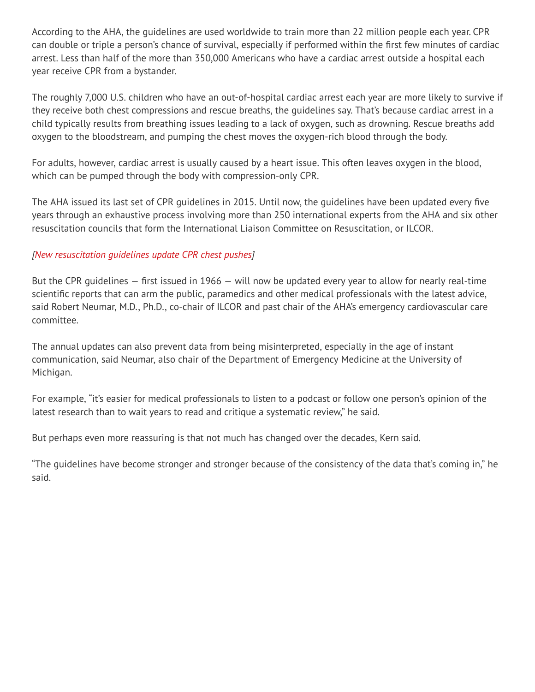According to the AHA, the guidelines are used worldwide to train more than 22 million people each year. CPR can double or triple a person's chance of survival, especially if performed within the ãrst few minutes of cardiac arrest. Less than half of the more than 350,000 Americans who have a cardiac arrest outside a hospital each year receive CPR from a bystander.

The roughly 7,000 U.S. children who have an out-of-hospital cardiac arrest each year are more likely to survive if they receive both chest compressions and rescue breaths, the guidelines say. That's because cardiac arrest in a child typically results from breathing issues leading to a lack of oxygen, such as drowning. Rescue breaths add oxygen to the bloodstream, and pumping the chest moves the oxygen-rich blood through the body.

For adults, however, cardiac arrest is usually caused by a heart issue. This often leaves oxygen in the blood, which can be pumped through the body with compression-only CPR.

The AHA issued its last set of CPR quidelines in 2015. Until now, the quidelines have been updated every five years through an exhaustive process involving more than 250 international experts from the AHA and six other resuscitation councils that form the International Liaison Committee on Resuscitation, or ILCOR.

## [New [resuscitation](https://news.heart.org/%ef%bb%bfnew-resuscitation-guidelines-update-cpr-chest-pushes/) guidelines update CPR chest pushes]

But the CPR quidelines  $-$  first issued in 1966  $-$  will now be updated every year to allow for nearly real-time scientific reports that can arm the public, paramedics and other medical professionals with the latest advice, said Robert Neumar, M.D., Ph.D., co-chair of ILCOR and past chair of the AHA's emergency cardiovascular care committee.

The annual updates can also prevent data from being misinterpreted, especially in the age of instant communication, said Neumar, also chair of the Department of Emergency Medicine at the University of Michigan.

For example, "it's easier for medical professionals to listen to a podcast or follow one person's opinion of the latest research than to wait years to read and critique a systematic review," he said.

But perhaps even more reassuring is that not much has changed over the decades, Kern said.

"The guidelines have become stronger and stronger because of the consistency of the data that's coming in," he said.